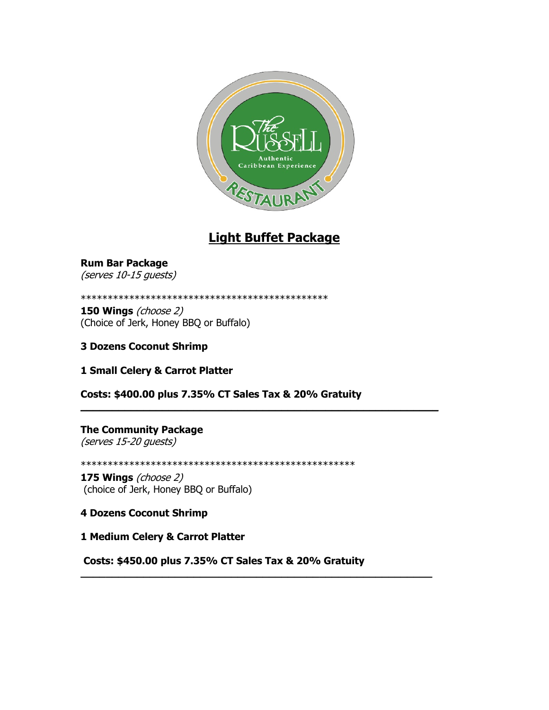

## **Light Buffet Package**

**Rum Bar Package**  (serves 10-15 guests)

\*\*\*\*\*\*\*\*\*\*\*\*\*\*\*\*\*\*\*\*\*\*\*\*\*\*\*\*\*\*\*\*\*\*\*\*\*\*\*\*\*\*\*\*\*\*

**150 Wings** (choose 2) (Choice of Jerk, Honey BBQ or Buffalo)

**3 Dozens Coconut Shrimp**

**1 Small Celery & Carrot Platter**

**Costs: \$400.00 plus 7.35% CT Sales Tax & 20% Gratuity**

**\_\_\_\_\_\_\_\_\_\_\_\_\_\_\_\_\_\_\_\_\_\_\_\_\_\_\_\_\_\_\_\_\_\_\_\_\_\_\_\_\_\_\_\_\_\_\_\_\_\_\_\_\_\_\_\_\_**

**The Community Package** (serves 15-20 guests)

\*\*\*\*\*\*\*\*\*\*\*\*\*\*\*\*\*\*\*\*\*\*\*\*\*\*\*\*\*\*\*\*\*\*\*\*\*\*\*\*\*\*\*\*\*\*\*\*\*\*\*

**175 Wings** (choose 2) (choice of Jerk, Honey BBQ or Buffalo)

**4 Dozens Coconut Shrimp**

**1 Medium Celery & Carrot Platter**

**Costs: \$450.00 plus 7.35% CT Sales Tax & 20% Gratuity**

**\_\_\_\_\_\_\_\_\_\_\_\_\_\_\_\_\_\_\_\_\_\_\_\_\_\_\_\_\_\_\_\_\_\_\_\_\_\_\_\_\_\_\_\_\_\_\_\_\_\_\_\_\_\_\_\_**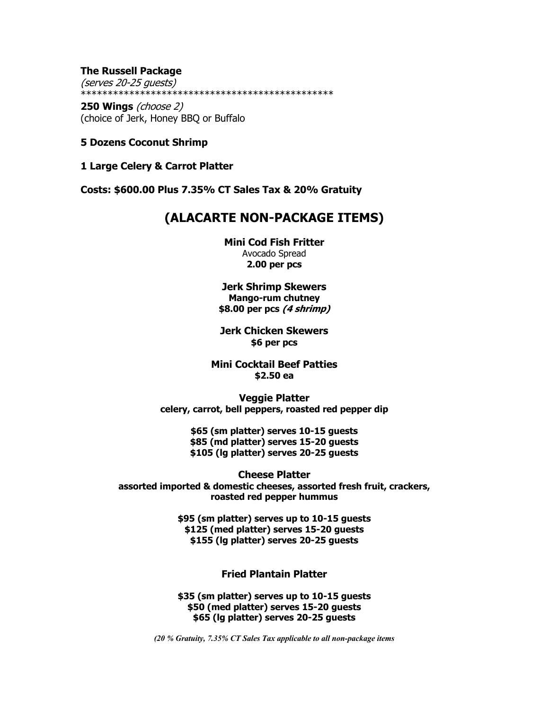**The Russell Package** (serves 20-25 guests) \*\*\*\*\*\*\*\*\*\*\*\*\*\*\*\*\*\*\*\*\*\*\*\*\*\*\*\*\*\*\*\*\*\*\*\*\*\*\*\*\*\*\*\*\*\*\*

**250 Wings** (choose 2) (choice of Jerk, Honey BBQ or Buffalo

- **5 Dozens Coconut Shrimp**
- **1 Large Celery & Carrot Platter**

**Costs: \$600.00 Plus 7.35% CT Sales Tax & 20% Gratuity**

## **(ALACARTE NON-PACKAGE ITEMS)**

**Mini Cod Fish Fritter** Avocado Spread **2.00 per pcs**

**Jerk Shrimp Skewers Mango-rum chutney \$8.00 per pcs (4 shrimp)**

**Jerk Chicken Skewers \$6 per pcs**

**Mini Cocktail Beef Patties \$2.50 ea**

**Veggie Platter celery, carrot, bell peppers, roasted red pepper dip**

> **\$65 (sm platter) serves 10-15 guests \$85 (md platter) serves 15-20 guests \$105 (lg platter) serves 20-25 guests**

**Cheese Platter assorted imported & domestic cheeses, assorted fresh fruit, crackers, roasted red pepper hummus**

> **\$95 (sm platter) serves up to 10-15 guests \$125 (med platter) serves 15-20 guests \$155 (lg platter) serves 20-25 guests**

> > **Fried Plantain Platter**

**\$35 (sm platter) serves up to 10-15 guests \$50 (med platter) serves 15-20 guests \$65 (lg platter) serves 20-25 guests**

*(20 % Gratuity, 7.35% CT Sales Tax applicable to all non-package items*